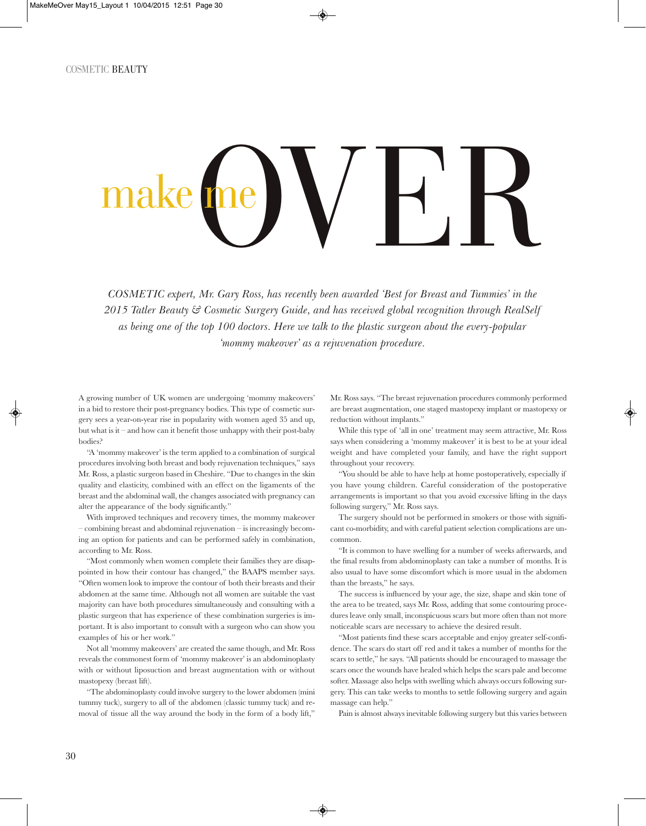COSMETIC BEAUTY

## OVER make me

*COSMETIC expert, Mr. Gary Ross, has recently been awarded 'Best for Breast and Tummies' in the 2015 Tatler Beauty & Cosmetic Surgery Guide, and has received global recognition through RealSelf as being one of the top 100 doctors. Here we talk to the plastic surgeon about the every-popular 'mommy makeover' as a rejuvenation procedure.*

A growing number of UK women are undergoing 'mommy makeovers' in a bid to restore their post-pregnancy bodies. This type of cosmetic surgery sees a year-on-year rise in popularity with women aged 35 and up, but what is it – and how can it benefit those unhappy with their post-baby bodies?

"A 'mommy makeover' is the term applied to a combination of surgical procedures involving both breast and body rejuvenation techniques," says Mr. Ross, a plastic surgeon based in Cheshire. "Due to changes in the skin quality and elasticity, combined with an effect on the ligaments of the breast and the abdominal wall, the changes associated with pregnancy can alter the appearance of the body significantly."

With improved techniques and recovery times, the mommy makeover – combining breast and abdominal rejuvenation – is increasingly becoming an option for patients and can be performed safely in combination, according to Mr. Ross.

"Most commonly when women complete their families they are disappointed in how their contour has changed," the BAAPS member says. "Often women look to improve the contour of both their breasts and their abdomen at the same time. Although not all women are suitable the vast majority can have both procedures simultaneously and consulting with a plastic surgeon that has experience of these combination surgeries is important. It is also important to consult with a surgeon who can show you examples of his or her work."

Not all 'mommy makeovers' are created the same though, and Mr. Ross reveals the commonest form of 'mommy makeover' is an abdominoplasty with or without liposuction and breast augmentation with or without mastopexy (breast lift).

"The abdominoplasty could involve surgery to the lower abdomen (mini tummy tuck), surgery to all of the abdomen (classic tummy tuck) and removal of tissue all the way around the body in the form of a body lift,"

Mr. Ross says. "The breast rejuvenation procedures commonly performed are breast augmentation, one staged mastopexy implant or mastopexy or reduction without implants."

While this type of 'all in one' treatment may seem attractive, Mr. Ross says when considering a 'mommy makeover' it is best to be at your ideal weight and have completed your family, and have the right support throughout your recovery.

"You should be able to have help at home postoperatively, especially if you have young children. Careful consideration of the postoperative arrangements is important so that you avoid excessive lifting in the days following surgery," Mr. Ross says.

The surgery should not be performed in smokers or those with significant co-morbidity, and with careful patient selection complications are uncommon.

"It is common to have swelling for a number of weeks afterwards, and the final results from abdominoplasty can take a number of months. It is also usual to have some discomfort which is more usual in the abdomen than the breasts," he says.

The success is influenced by your age, the size, shape and skin tone of the area to be treated, says Mr. Ross, adding that some contouring procedures leave only small, inconspicuous scars but more often than not more noticeable scars are necessary to achieve the desired result.

"Most patients find these scars acceptable and enjoy greater self-confidence. The scars do start off red and it takes a number of months for the scars to settle," he says. "All patients should be encouraged to massage the scars once the wounds have healed which helps the scars pale and become softer. Massage also helps with swelling which always occurs following surgery. This can take weeks to months to settle following surgery and again massage can help."

Pain is almost always inevitable following surgery but this varies between